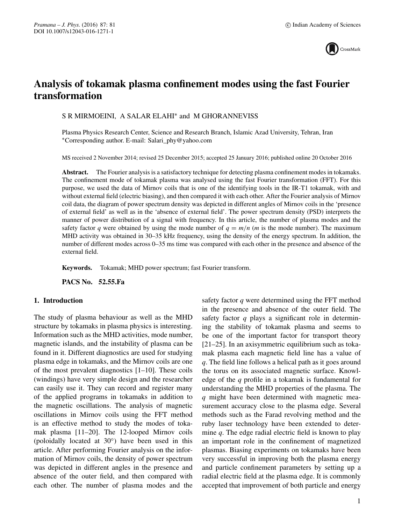

# **Analysis of tokamak plasma confinement modes using the fast Fourier transformation**

S R MIRMOEINI, A SALAR ELAHI∗ and M GHORANNEVISS

Plasma Physics Research Center, Science and Research Branch, Islamic Azad University, Tehran, Iran ∗Corresponding author. E-mail: Salari\_phy@yahoo.com

MS received 2 November 2014; revised 25 December 2015; accepted 25 January 2016; published online 20 October 2016

**Abstract.** The Fourier analysis is a satisfactory technique for detecting plasma confinement modes in tokamaks. The confinement mode of tokamak plasma was analysed using the fast Fourier transformation (FFT). For this purpose, we used the data of Mirnov coils that is one of the identifying tools in the IR-T1 tokamak, with and without external field (electric biasing), and then compared it with each other. After the Fourier analysis of Mirnov coil data, the diagram of power spectrum density was depicted in different angles of Mirnov coils in the 'presence of external field' as well as in the 'absence of external field'. The power spectrum density (PSD) interprets the manner of power distribution of a signal with frequency. In this article, the number of plasma modes and the safety factor *q* were obtained by using the mode number of  $q = m/n$  (*m* is the mode number). The maximum MHD activity was obtained in 30–35 kHz frequency, using the density of the energy spectrum. In addition, the number of different modes across 0–35 ms time was compared with each other in the presence and absence of the external field.

**Keywords.** Tokamak; MHD power spectrum; fast Fourier transform.

**PACS No. 52.55.Fa**

### **1. Introduction**

The study of plasma behaviour as well as the MHD structure by tokamaks in plasma physics is interesting. Information such as the MHD activities, mode number, magnetic islands, and the instability of plasma can be found in it. Different diagnostics are used for studying plasma edge in tokamaks, and the Mirnov coils are one of the most prevalent diagnostics [1–10]. These coils (windings) have very simple design and the researcher can easily use it. They can record and register many of the applied programs in tokamaks in addition to the magnetic oscillations. The analysis of magnetic oscillations in Mirnov coils using the FFT method is an effective method to study the modes of tokamak plasma [11–20]. The 12-looped Mirnov coils (poloidally located at 30◦) have been used in this article. After performing Fourier analysis on the information of Mirnov coils, the density of power spectrum was depicted in different angles in the presence and absence of the outer field, and then compared with each other. The number of plasma modes and the safety factor *q* were determined using the FFT method in the presence and absence of the outer field. The safety factor *q* plays a significant role in determining the stability of tokamak plasma and seems to be one of the important factor for transport theory [21–25]. In an axisymmetric equilibrium such as tokamak plasma each magnetic field line has a value of *q*. The field line follows a helical path as it goes around the torus on its associated magnetic surface. Knowledge of the *q* profile in a tokamak is fundamental for understanding the MHD properties of the plasma. The *q* might have been determined with magnetic measurement accuracy close to the plasma edge. Several methods such as the Farad revolving method and the ruby laser technology have been extended to determine *q*. The edge radial electric field is known to play an important role in the confinement of magnetized plasmas. Biasing experiments on tokamaks have been very successful in improving both the plasma energy and particle confinement parameters by setting up a radial electric field at the plasma edge. It is commonly accepted that improvement of both particle and energy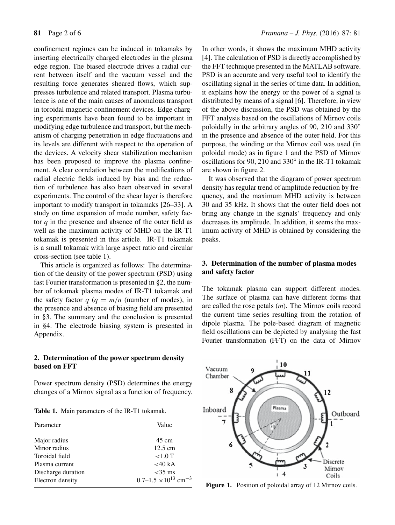confinement regimes can be induced in tokamaks by inserting electrically charged electrodes in the plasma edge region. The biased electrode drives a radial current between itself and the vacuum vessel and the resulting force generates sheared flows, which suppresses turbulence and related transport. Plasma turbulence is one of the main causes of anomalous transport in toroidal magnetic confinement devices. Edge charging experiments have been found to be important in modifying edge turbulence and transport, but the mechanism of charging penetration in edge fluctuations and its levels are different with respect to the operation of the devices. A velocity shear stabilization mechanism has been proposed to improve the plasma confinement. A clear correlation between the modifications of radial electric fields induced by bias and the reduction of turbulence has also been observed in several experiments. The control of the shear layer is therefore important to modify transport in tokamaks [26–33]. A study on time expansion of mode number, safety factor *q* in the presence and absence of the outer field as well as the maximum activity of MHD on the IR-T1 tokamak is presented in this article. IR-T1 tokamak is a small tokamak with large aspect ratio and circular cross-section (see table 1).

This article is organized as follows: The determination of the density of the power spectrum (PSD) using fast Fourier transformation is presented in §2, the number of tokamak plasma modes of IR-T1 tokamak and the safety factor  $q$  ( $q = m/n$  (number of modes), in the presence and absence of biasing field are presented in §3. The summary and the conclusion is presented in §4. The electrode biasing system is presented in Appendix.

# **2. Determination of the power spectrum density based on FFT**

Power spectrum density (PSD) determines the energy changes of a Mirnov signal as a function of frequency.

**Table 1.** Main parameters of the IR-T1 tokamak.

| Parameter          | Value                                     |  |  |
|--------------------|-------------------------------------------|--|--|
| Major radius       | $45 \text{ cm}$                           |  |  |
| Minor radius       | $12.5 \text{ cm}$                         |  |  |
| Toroidal field     | $<1.0$ T                                  |  |  |
| Plasma current     | <40 kA                                    |  |  |
| Discharge duration | $<$ 35 ms                                 |  |  |
| Electron density   | $0.7-1.5 \times 10^{13}$ cm <sup>-3</sup> |  |  |

In other words, it shows the maximum MHD activity [4]. The calculation of PSD is directly accomplished by the FFT technique presented in the MATLAB software. PSD is an accurate and very useful tool to identify the oscillating signal in the series of time data. In addition, it explains how the energy or the power of a signal is distributed by means of a signal [6]. Therefore, in view of the above discussion, the PSD was obtained by the FFT analysis based on the oscillations of Mirnov coils poloidally in the arbitrary angles of 90, 210 and 330° in the presence and absence of the outer field. For this purpose, the winding or the Mirnov coil was used (in poloidal mode) as in figure 1 and the PSD of Mirnov oscillations for 90, 210 and 330◦ in the IR-T1 tokamak are shown in figure 2.

It was observed that the diagram of power spectrum density has regular trend of amplitude reduction by frequency, and the maximum MHD activity is between 30 and 35 kHz. It shows that the outer field does not bring any change in the signals' frequency and only decreases its amplitude. In addition, it seems the maximum activity of MHD is obtained by considering the peaks.

## **3. Determination of the number of plasma modes and safety factor**

The tokamak plasma can support different modes. The surface of plasma can have different forms that are called the rose petals (*m*). The Mirnov coils record the current time series resulting from the rotation of dipole plasma. The pole-based diagram of magnetic field oscillations can be depicted by analysing the fast Fourier transformation (FFT) on the data of Mirnov



Figure 1. Position of poloidal array of 12 Mirnov coils.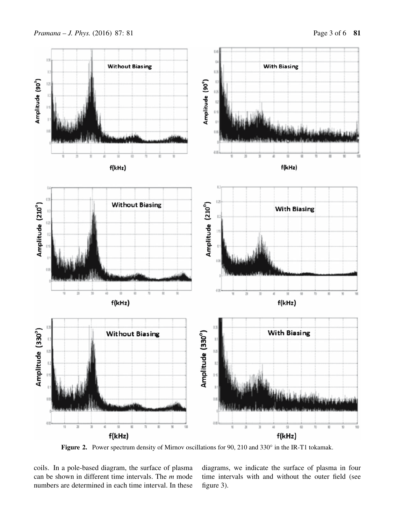

Figure 2. Power spectrum density of Mirnov oscillations for 90, 210 and 330° in the IR-T1 tokamak.

coils. In a pole-based diagram, the surface of plasma can be shown in different time intervals. The *m* mode numbers are determined in each time interval. In these

diagrams, we indicate the surface of plasma in four time intervals with and without the outer field (see figure 3).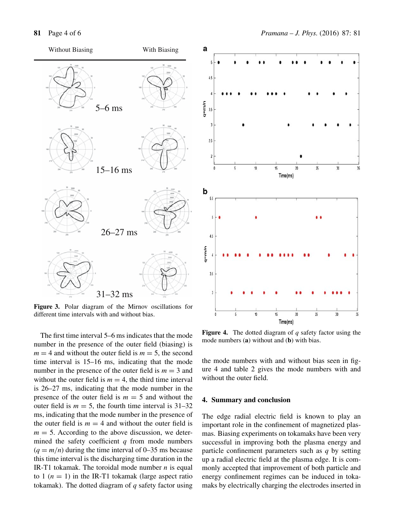

**Figure 3.** Polar diagram of the Mirnov oscillations for different time intervals with and without bias.

The first time interval 5–6 ms indicates that the mode number in the presence of the outer field (biasing) is  $m = 4$  and without the outer field is  $m = 5$ , the second time interval is 15–16 ms, indicating that the mode number in the presence of the outer field is  $m = 3$  and without the outer field is  $m = 4$ , the third time interval is 26–27 ms, indicating that the mode number in the presence of the outer field is  $m = 5$  and without the outer field is  $m = 5$ , the fourth time interval is  $31-32$ ms, indicating that the mode number in the presence of the outer field is  $m = 4$  and without the outer field is  $m = 5$ . According to the above discussion, we determined the safety coefficient *q* from mode numbers  $(q = m/n)$  during the time interval of 0–35 ms because this time interval is the discharging time duration in the IR-T1 tokamak. The toroidal mode number  $n$  is equal to 1  $(n = 1)$  in the IR-T1 tokamak (large aspect ratio tokamak). The dotted diagram of *q* safety factor using



**Figure 4.** The dotted diagram of *q* safety factor using the mode numbers (**a**) without and (**b**) with bias.

the mode numbers with and without bias seen in figure 4 and table 2 gives the mode numbers with and without the outer field.

#### **4. Summary and conclusion**

The edge radial electric field is known to play an important role in the confinement of magnetized plasmas. Biasing experiments on tokamaks have been very successful in improving both the plasma energy and particle confinement parameters such as *q* by setting up a radial electric field at the plasma edge. It is commonly accepted that improvement of both particle and energy confinement regimes can be induced in tokamaks by electrically charging the electrodes inserted in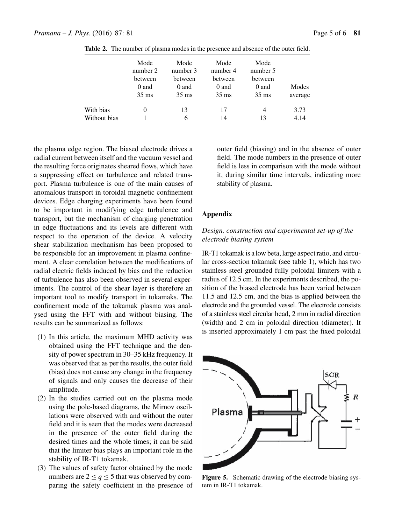|              | Mode<br>number 2<br>between<br>0 and<br>$35 \text{ ms}$ | Mode<br>number 3<br>between<br>0 and<br>$35 \text{ ms}$ | Mode<br>number 4<br>between<br>0 and<br>$35 \text{ ms}$ | Mode<br>number 5<br>between<br>0 and<br>$35 \text{ ms}$ | Modes<br>average |
|--------------|---------------------------------------------------------|---------------------------------------------------------|---------------------------------------------------------|---------------------------------------------------------|------------------|
| With bias    |                                                         | 13                                                      | 17                                                      | 4                                                       | 3.73             |
| Without bias |                                                         | 6                                                       | 14                                                      | 13                                                      | 4.14             |

**Table 2.** The number of plasma modes in the presence and absence of the outer field.

the plasma edge region. The biased electrode drives a radial current between itself and the vacuum vessel and the resulting force originates sheared flows, which have a suppressing effect on turbulence and related transport. Plasma turbulence is one of the main causes of anomalous transport in toroidal magnetic confinement devices. Edge charging experiments have been found to be important in modifying edge turbulence and transport, but the mechanism of charging penetration in edge fluctuations and its levels are different with respect to the operation of the device. A velocity shear stabilization mechanism has been proposed to be responsible for an improvement in plasma confinement. A clear correlation between the modifications of radial electric fields induced by bias and the reduction of turbulence has also been observed in several experiments. The control of the shear layer is therefore an important tool to modify transport in tokamaks. The confinement mode of the tokamak plasma was analysed using the FFT with and without biasing. The results can be summarized as follows:

- (1) In this article, the maximum MHD activity was obtained using the FFT technique and the density of power spectrum in 30–35 kHz frequency. It was observed that as per the results, the outer field (bias) does not cause any change in the frequency of signals and only causes the decrease of their amplitude.
- (2) In the studies carried out on the plasma mode using the pole-based diagrams, the Mirnov oscillations were observed with and without the outer field and it is seen that the modes were decreased in the presence of the outer field during the desired times and the whole times; it can be said that the limiter bias plays an important role in the stability of IR-T1 tokamak.
- (3) The values of safety factor obtained by the mode numbers are  $2 \le q \le 5$  that was observed by comparing the safety coefficient in the presence of

outer field (biasing) and in the absence of outer field. The mode numbers in the presence of outer field is less in comparison with the mode without it, during similar time intervals, indicating more stability of plasma.

# **Appendix**

### *Design, construction and experimental set-up of the electrode biasing system*

IR-T1 tokamak is a low beta, large aspect ratio, and circular cross-section tokamak (see table 1), which has two stainless steel grounded fully poloidal limiters with a radius of 12.5 cm. In the experiments described, the position of the biased electrode has been varied between 11.5 and 12.5 cm, and the bias is applied between the electrode and the grounded vessel. The electrode consists of a stainless steel circular head, 2 mm in radial direction (width) and 2 cm in poloidal direction (diameter). It is inserted approximately 1 cm past the fixed poloidal



**Figure 5.** Schematic drawing of the electrode biasing system in IR-T1 tokamak.